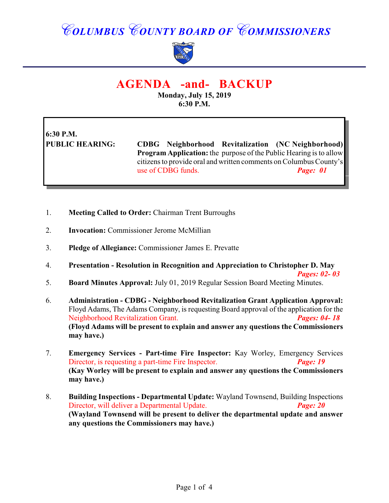## *COLUMBUS COUNTY BOARD OF COMMISSIONERS*



### **AGENDA -and- BACKUP**

**Monday, July 15, 2019 6:30 P.M.**

# **6:30 P.M.**

**PUBLIC HEARING: CDBG Neighborhood Revitalization (NC Neighborhood) Program Application:** the purpose of the Public Hearing is to allow citizens to provide oral and written comments on Columbus County's use of CDBG funds. *Page: 01*

- 1. **Meeting Called to Order:** Chairman Trent Burroughs
- 2. **Invocation:** Commissioner Jerome McMillian
- 3. **Pledge of Allegiance:** Commissioner James E. Prevatte
- 4. **Presentation Resolution in Recognition and Appreciation to Christopher D. May**

*Pages: 02- 03* 5. **Board Minutes Approval:** July 01, 2019 Regular Session Board Meeting Minutes.

- 6. **Administration CDBG Neighborhood Revitalization Grant Application Approval:** Floyd Adams, The Adams Company, is requesting Board approval of the application for the Neighborhood Revitalization Grant. *Pages: 04- 18* **(Floyd Adams will be present to explain and answer any questions the Commissioners may have.)**
- 7. **Emergency Services Part-time Fire Inspector:** Kay Worley, Emergency Services Director, is requesting a part-time Fire Inspector. *Page: 19* **(Kay Worley will be present to explain and answer any questions the Commissioners may have.)**
- 8. **Building Inspections Departmental Update:** Wayland Townsend, Building Inspections Director, will deliver a Departmental Update. *Page: 20* **(Wayland Townsend will be present to deliver the departmental update and answer any questions the Commissioners may have.)**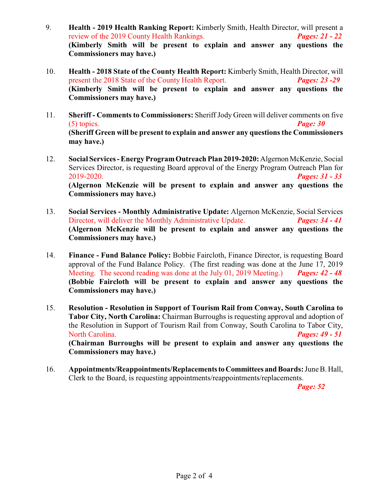- 9. **Health 2019 Health Ranking Report:** Kimberly Smith, Health Director, will present a review of the 2019 County Health Rankings. *Pages: 21 - 22* **(Kimberly Smith will be present to explain and answer any questions the Commissioners may have.)**
- 10. **Health 2018 State of the County Health Report:** Kimberly Smith, Health Director, will present the 2018 State of the County Health Report. *Pages: 23 -29* **(Kimberly Smith will be present to explain and answer any questions the Commissioners may have.)**
- 11. **Sheriff Comments to Commissioners:** Sheriff Jody Green will deliver comments on five (5) topics. *Page: 30* **(Sheriff Green will be present to explain and answer any questions the Commissioners may have.)**
- 12. **Social Services Energy Program Outreach Plan 2019-2020:** Algernon McKenzie, Social Services Director, is requesting Board approval of the Energy Program Outreach Plan for 2019-2020. *Pages: 31 - 33* **(Algernon McKenzie will be present to explain and answer any questions the Commissioners may have.)**
- 13. **Social Services Monthly Administrative Update:** Algernon McKenzie, Social Services Director, will deliver the Monthly Administrative Update. *Pages: 34 - 41* **(Algernon McKenzie will be present to explain and answer any questions the Commissioners may have.)**
- 14. **Finance Fund Balance Policy:** Bobbie Faircloth, Finance Director, is requesting Board approval of the Fund Balance Policy. (The first reading was done at the June 17, 2019 Meeting. The second reading was done at the July 01, 2019 Meeting.) *Pages: 42 - 48* **(Bobbie Faircloth will be present to explain and answer any questions the Commissioners may have.)**
- 15. **Resolution Resolution in Support of Tourism Rail from Conway, South Carolina to Tabor City, North Carolina:** Chairman Burroughs is requesting approval and adoption of the Resolution in Support of Tourism Rail from Conway, South Carolina to Tabor City, North Carolina. *Pages: 49 - 51* **(Chairman Burroughs will be present to explain and answer any questions the Commissioners may have.)**
- 16. **Appointments/Reappointments/Replacements to Committees and Boards:** June B. Hall, Clerk to the Board, is requesting appointments/reappointments/replacements.

*Page: 52*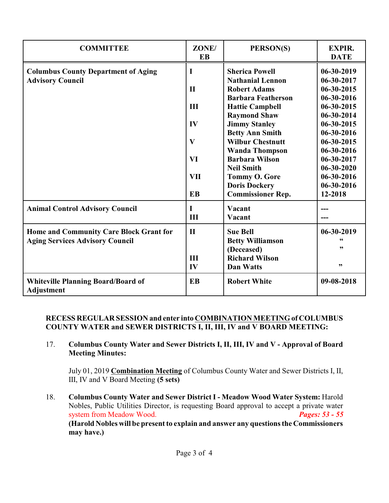| <b>COMMITTEE</b>                                                      | ZONE/<br>EB  | PERSON(S)                                        | <b>EXPIR.</b><br><b>DATE</b>   |
|-----------------------------------------------------------------------|--------------|--------------------------------------------------|--------------------------------|
| <b>Columbus County Department of Aging</b><br><b>Advisory Council</b> | I            | <b>Sherica Powell</b><br><b>Nathanial Lennon</b> | $06 - 30 - 2019$<br>06-30-2017 |
|                                                                       | $\mathbf{H}$ | <b>Robert Adams</b>                              | $06 - 30 - 2015$               |
|                                                                       |              | <b>Barbara Featherson</b>                        | 06-30-2016                     |
|                                                                       | III          | <b>Hattie Campbell</b>                           | 06-30-2015                     |
|                                                                       |              | <b>Raymond Shaw</b>                              | 06-30-2014                     |
|                                                                       | IV           | <b>Jimmy Stanley</b>                             | 06-30-2015                     |
|                                                                       |              | <b>Betty Ann Smith</b>                           | 06-30-2016                     |
|                                                                       | $\mathbf{V}$ | <b>Wilbur Chestnutt</b>                          | 06-30-2015                     |
|                                                                       |              | <b>Wanda Thompson</b>                            | 06-30-2016                     |
|                                                                       | <b>VI</b>    | <b>Barbara Wilson</b>                            | 06-30-2017                     |
|                                                                       |              | <b>Neil Smith</b>                                | $06 - 30 - 2020$               |
|                                                                       | <b>VII</b>   | <b>Tommy O. Gore</b>                             | 06-30-2016                     |
|                                                                       |              | <b>Doris Dockery</b>                             | 06-30-2016                     |
|                                                                       | <b>EB</b>    | <b>Commissioner Rep.</b>                         | 12-2018                        |
| <b>Animal Control Advisory Council</b>                                | I            | Vacant                                           |                                |
|                                                                       | III          | Vacant                                           |                                |
| Home and Community Care Block Grant for                               | $\mathbf{I}$ | <b>Sue Bell</b>                                  | 06-30-2019                     |
| <b>Aging Services Advisory Council</b>                                |              | <b>Betty Williamson</b>                          | 66                             |
|                                                                       |              | (Deceased)                                       | ,,                             |
|                                                                       | III          | <b>Richard Wilson</b>                            |                                |
|                                                                       | IV           | <b>Dan Watts</b>                                 | ,,                             |
| <b>Whiteville Planning Board/Board of</b><br><b>Adjustment</b>        | <b>EB</b>    | <b>Robert White</b>                              | 09-08-2018                     |

### **RECESS REGULAR SESSION and enter into COMBINATION MEETING of COLUMBUS COUNTY WATER and SEWER DISTRICTS I, II, III, IV and V BOARD MEETING:**

17. **Columbus County Water and Sewer Districts I, II, III, IV and V - Approval of Board Meeting Minutes:**

July 01, 2019 **Combination Meeting** of Columbus County Water and Sewer Districts I, II, III, IV and V Board Meeting **(5 sets)**

18. **Columbus County Water and Sewer District I - Meadow Wood Water System:** Harold Nobles, Public Utilities Director, is requesting Board approval to accept a private water system from Meadow Wood. *Pages: 53 - 55* **(Harold Nobles will be present to explain and answer any questions the Commissioners may have.)**